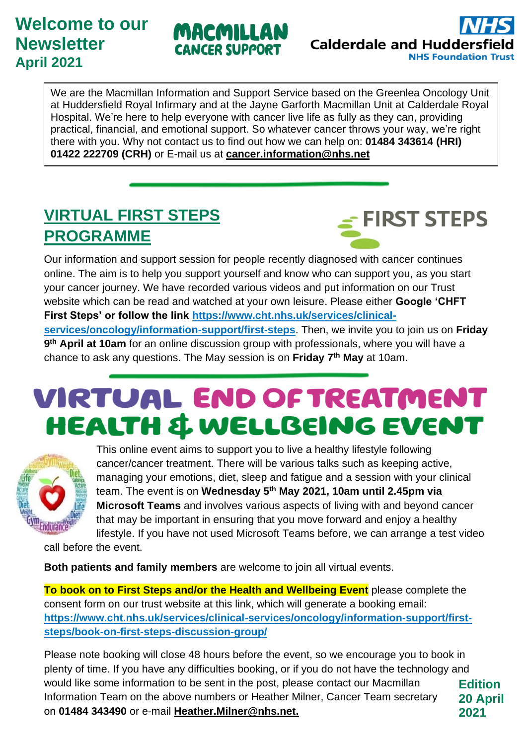#### **Welcome to our Newsletter April 2021**





We are the Macmillan Information and Support Service based on the Greenlea Oncology Unit at Huddersfield Royal Infirmary and at the Jayne Garforth Macmillan Unit at Calderdale Royal Hospital. We're here to help everyone with cancer live life as fully as they can, providing practical, financial, and emotional support. So whatever cancer throws your way, we're right there with you. Why not contact us to find out how we can help on: **01484 343614 (HRI) 01422 222709 (CRH)** or E-mail us at **[cancer.information@nhs.net](mailto:cancer.information@nhs.net)**

### **VIRTUAL FIRST STEPS PROGRAMME**



Our information and support session for people recently diagnosed with cancer continues online. The aim is to help you support yourself and know who can support you, as you start your cancer journey. We have recorded various videos and put information on our Trust website which can be read and watched at your own leisure. Please either **Google 'CHFT First Steps' or follow the link [https://www.cht.nhs.uk/services/clinical](https://www.cht.nhs.uk/services/clinical-services/oncology/information-support/first-steps)[services/oncology/information-support/first-steps](https://www.cht.nhs.uk/services/clinical-services/oncology/information-support/first-steps)**. Then, we invite you to join us on **Friday 9 th April at 10am** for an online discussion group with professionals, where you will have a chance to ask any questions. The May session is on **Friday 7th May** at 10am.

# **VIRTUAL END OF TREATMENT** HEALTH & WELLBEING EVENT



This online event aims to support you to live a healthy lifestyle following cancer/cancer treatment. There will be various talks such as keeping active, managing your emotions, diet, sleep and fatigue and a session with your clinical team. The event is on **Wednesday 5th May 2021, 10am until 2.45pm via Microsoft Teams** and involves various aspects of living with and beyond cancer that may be important in ensuring that you move forward and enjoy a healthy lifestyle. If you have not used Microsoft Teams before, we can arrange a test video

call before the event.

**Both patients and family members** are welcome to join all virtual events.

**To book on to First Steps and/or the Health and Wellbeing Event** please complete the consent form on our trust website at this link, which will generate a booking email: **https://www.cht.nhs.uk/services/clinical-services/oncology/information-support/firststeps/book-on-first-steps-discussion-group/** 

**Edition 20 April 2021** Please note booking will close 48 hours before the event, so we encourage you to book in plenty of time. If you have any difficulties booking, or if you do not have the technology and would like some information to be sent in the post, please contact our Macmillan Information Team on the above numbers or Heather Milner, Cancer Team secretary on **01484 343490** or e-mail **[Heather.Milner@nhs.net.](mailto:Heather.Milner@nhs.net)**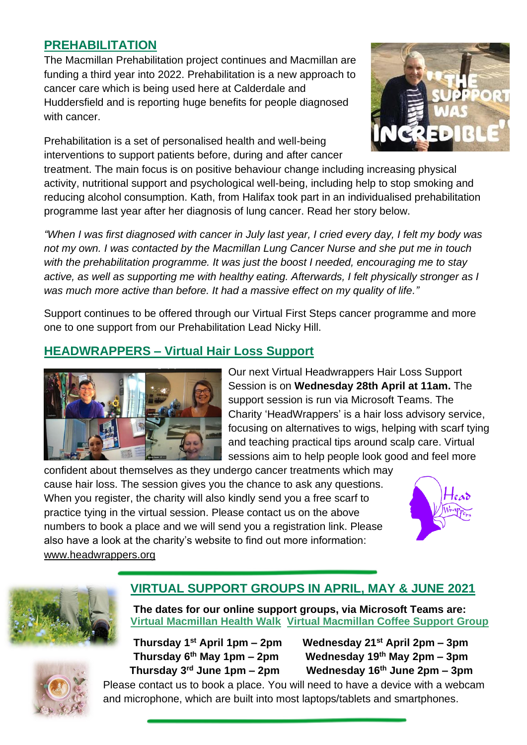#### **PREHABILITATION**

The Macmillan Prehabilitation project continues and Macmillan are funding a third year into 2022. Prehabilitation is a new approach to cancer care which is being used here at Calderdale and Huddersfield and is reporting huge benefits for people diagnosed with cancer.

Prehabilitation is a set of personalised health and well-being interventions to support patients before, during and after cancer



treatment. The main focus is on positive behaviour change including increasing physical activity, nutritional support and psychological well-being, including help to stop smoking and reducing alcohol consumption. Kath, from Halifax took part in an individualised prehabilitation programme last year after her diagnosis of lung cancer. Read her story below.

*"When I was first diagnosed with cancer in July last year, I cried every day, I felt my body was not my own. I was contacted by the Macmillan Lung Cancer Nurse and she put me in touch with the prehabilitation programme. It was just the boost I needed, encouraging me to stay active, as well as supporting me with healthy eating. Afterwards, I felt physically stronger as I was much more active than before. It had a massive effect on my quality of life."*

Support continues to be offered through our Virtual First Steps cancer programme and more one to one support from our Prehabilitation Lead Nicky Hill.

#### **HEADWRAPPERS – Virtual Hair Loss Support**



Our next Virtual Headwrappers Hair Loss Support Session is on **Wednesday 28th April at 11am.** The support session is run via Microsoft Teams. The Charity 'HeadWrappers' is a hair loss advisory service, focusing on alternatives to wigs, helping with scarf tying and teaching practical tips around scalp care. Virtual sessions aim to help people look good and feel more

confident about themselves as they undergo cancer treatments which may cause hair loss. The session gives you the chance to ask any questions. When you register, the charity will also kindly send you a free scarf to practice tying in the virtual session. Please contact us on the above numbers to book a place and we will send you a registration link. Please also have a look at the charity's website to find out more information: www.headwrappers.org





#### **VIRTUAL SUPPORT GROUPS IN APRIL, MAY & JUNE 2021**

**The dates for our online support groups, via Microsoft Teams are: Virtual Macmillan Health Walk Virtual Macmillan Coffee Support Group** 

**Thursday 6 Thursday 3**

**Thursday 1st April 1pm – 2pm Wednesday 21st April 2pm – 3pm Wednesday 19<sup>th</sup> May 2pm – 3pm rd June 1pm – 2pm Wednesday 16th June 2pm – 3pm**

Please contact us to book a place. You will need to have a device with a webcam and microphone, which are built into most laptops/tablets and smartphones.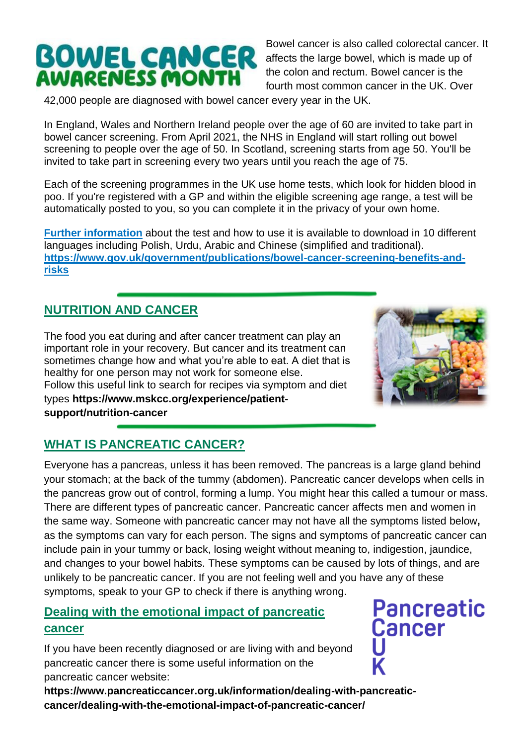# **BOWEL CANCER**<br>AWARENESS MONTH

Bowel cancer is also called colorectal cancer. It affects the [large bowel,](https://www.bowelcanceruk.org.uk/about-bowel-cancer/the-bowel/) which is made up of the colon and rectum. Bowel cancer is the fourth most common cancer in the UK. Over

42,000 people are diagnosed with bowel cancer every year in the UK.

In England, Wales and Northern Ireland people over the age of 60 are invited to take part in bowel cancer screening. From April 2021, the NHS in England will start rolling out bowel screening to people over the age of 50. In Scotland, screening starts from age 50. You'll be invited to take part in screening every two years until you reach the age of 75.

Each of the screening programmes in the UK use home tests, which look for hidden blood in poo. If you're registered with a GP and within the eligible screening age range, a test will be automatically posted to you, so you can complete it in the privacy of your own home.

**[Further information](https://www.gov.uk/government/publications/bowel-cancer-screening-benefits-and-risks)** about the test and how to use it is available to download in 10 different languages including Polish, Urdu, Arabic and Chinese (simplified and traditional). **https://www.gov.uk/government/publications/bowel-cancer-screening-benefits-andrisks**

#### **NUTRITION AND CANCER**

The food you eat during and after cancer treatment can play an important role in your recovery. But cancer and its treatment can sometimes change how and what you're able to eat. A diet that is healthy for one person may not work for someone else. Follow this useful link to search for recipes via symptom and diet types **https://www.mskcc.org/experience/patientsupport/nutrition-cancer**



#### **WHAT IS PANCREATIC CANCER?**

Everyone has a pancreas, unless it has been removed. The pancreas is a large gland behind your stomach; at the back of the tummy (abdomen). Pancreatic cancer develops when cells in the pancreas grow out of control, forming a lump. You might hear this called a tumour or mass. There are different types of pancreatic cancer. Pancreatic cancer affects men and women in the same way. Someone with pancreatic cancer may not have all the symptoms listed below**,**  as the symptoms can vary for each person. The signs and symptoms of pancreatic cancer can include pain in your tummy or back, losing weight without meaning to, indigestion, jaundice, and changes to your bowel habits. These symptoms can be caused by lots of things, and are unlikely to be pancreatic cancer. If you are not feeling well and you have any of these symptoms, speak to your GP to check if there is anything wrong.

#### **Dealing with the emotional impact of pancreatic cancer**

If you have been recently diagnosed or are living with and beyond pancreatic cancer there is some useful information on the pancreatic cancer website:

**https://www.pancreaticcancer.org.uk/information/dealing-with-pancreaticcancer/dealing-with-the-emotional-impact-of-pancreatic-cancer/**

**Pancreatic Cancer**